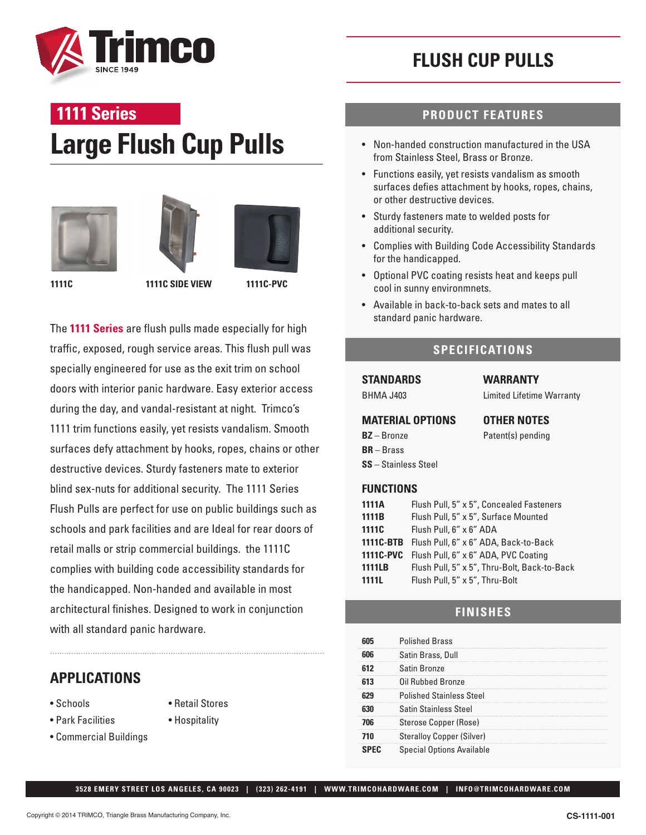

## **FLUSH CUP PULLS**

# **Large Flush Cup Pulls 1111 Series**







**1111C 1111C SIDE VIEW 1111C-PVC**

The **1111 Series** are flush pulls made especially for high traffic, exposed, rough service areas. This flush pull was specially engineered for use as the exit trim on school doors with interior panic hardware. Easy exterior access during the day, and vandal-resistant at night. Trimco's 1111 trim functions easily, yet resists vandalism. Smooth surfaces defy attachment by hooks, ropes, chains or other destructive devices. Sturdy fasteners mate to exterior blind sex-nuts for additional security. The 1111 Series Flush Pulls are perfect for use on public buildings such as schools and park facilities and are Ideal for rear doors of retail malls or strip commercial buildings. the 1111C complies with building code accessibility standards for the handicapped. Non-handed and available in most architectural finishes. Designed to work in conjunction with all standard panic hardware.

#### **APPLICATIONS**

- Schools
- Park Facilities
- Retail Stores
- Hospitality
- Commercial Buildings
- 
- 

#### **PRODUCT FEATURES**

- Non-handed construction manufactured in the USA from Stainless Steel, Brass or Bronze.
- Functions easily, yet resists vandalism as smooth surfaces defies attachment by hooks, ropes, chains, or other destructive devices.
- Sturdy fasteners mate to welded posts for additional security.
- Complies with Building Code Accessibility Standards for the handicapped.
- Optional PVC coating resists heat and keeps pull cool in sunny environmnets.
- Available in back-to-back sets and mates to all standard panic hardware.

#### **SPECIFICATIONS**

#### **STANDARDS**

BHMA J403

**WARRANTY** Limited Lifetime Warranty

### **MATERIAL OPTIONS**

**BZ** – Bronze **BR** – Brass

**OTHER NOTES** Patent(s) pending

#### **FUNCTIONS**

**SS** – Stainless Steel

| 1111A             | Flush Pull, 5" x 5", Concealed Fasteners        |
|-------------------|-------------------------------------------------|
|                   |                                                 |
| 1111B             | Flush Pull, 5" x 5", Surface Mounted            |
| 1111 <sub>C</sub> | Flush Pull, 6" x 6" ADA                         |
|                   | 1111C-BTB Flush Pull, 6" x 6" ADA, Back-to-Back |
|                   | 1111C-PVC Flush Pull, 6" x 6" ADA, PVC Coating  |
| <b>1111LB</b>     | Flush Pull, 5" x 5", Thru-Bolt, Back-to-Back    |
| <b>1111L</b>      | Flush Pull, 5" x 5", Thru-Bolt                  |

#### **FINISHES**

|    | <b>Polished Brass</b>            |
|----|----------------------------------|
|    | Satin Brass, Dull                |
|    | Satin Bronze                     |
|    | Oil Rubbed Bronze                |
|    | <b>Polished Stainless Steel</b>  |
|    | <b>Satin Stainless Steel</b>     |
| ገፍ | Sterose Copper (Rose)            |
|    | <b>Steralloy Copper (Silver)</b> |
|    | <b>Special Options Available</b> |